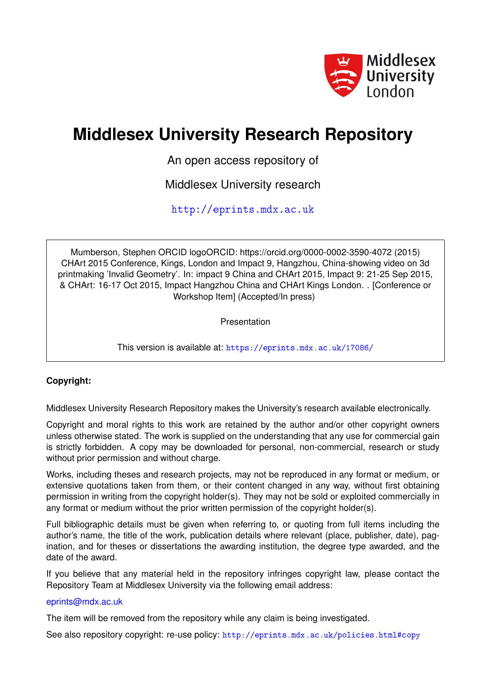

## **Middlesex University Research Repository**

An open access repository of

Middlesex University research

<http://eprints.mdx.ac.uk>

Mumberson, Stephen ORCID logoORCID: https://orcid.org/0000-0002-3590-4072 (2015) CHArt 2015 Conference, Kings, London and Impact 9, Hangzhou, China-showing video on 3d printmaking 'Invalid Geometry'. In: impact 9 China and CHArt 2015, Impact 9: 21-25 Sep 2015, & CHArt: 16-17 Oct 2015, Impact Hangzhou China and CHArt Kings London. . [Conference or Workshop Item] (Accepted/In press)

Presentation

This version is available at: <https://eprints.mdx.ac.uk/17086/>

## **Copyright:**

Middlesex University Research Repository makes the University's research available electronically.

Copyright and moral rights to this work are retained by the author and/or other copyright owners unless otherwise stated. The work is supplied on the understanding that any use for commercial gain is strictly forbidden. A copy may be downloaded for personal, non-commercial, research or study without prior permission and without charge.

Works, including theses and research projects, may not be reproduced in any format or medium, or extensive quotations taken from them, or their content changed in any way, without first obtaining permission in writing from the copyright holder(s). They may not be sold or exploited commercially in any format or medium without the prior written permission of the copyright holder(s).

Full bibliographic details must be given when referring to, or quoting from full items including the author's name, the title of the work, publication details where relevant (place, publisher, date), pagination, and for theses or dissertations the awarding institution, the degree type awarded, and the date of the award.

If you believe that any material held in the repository infringes copyright law, please contact the Repository Team at Middlesex University via the following email address:

## [eprints@mdx.ac.uk](mailto:eprints@mdx.ac.uk)

The item will be removed from the repository while any claim is being investigated.

See also repository copyright: re-use policy: <http://eprints.mdx.ac.uk/policies.html#copy>